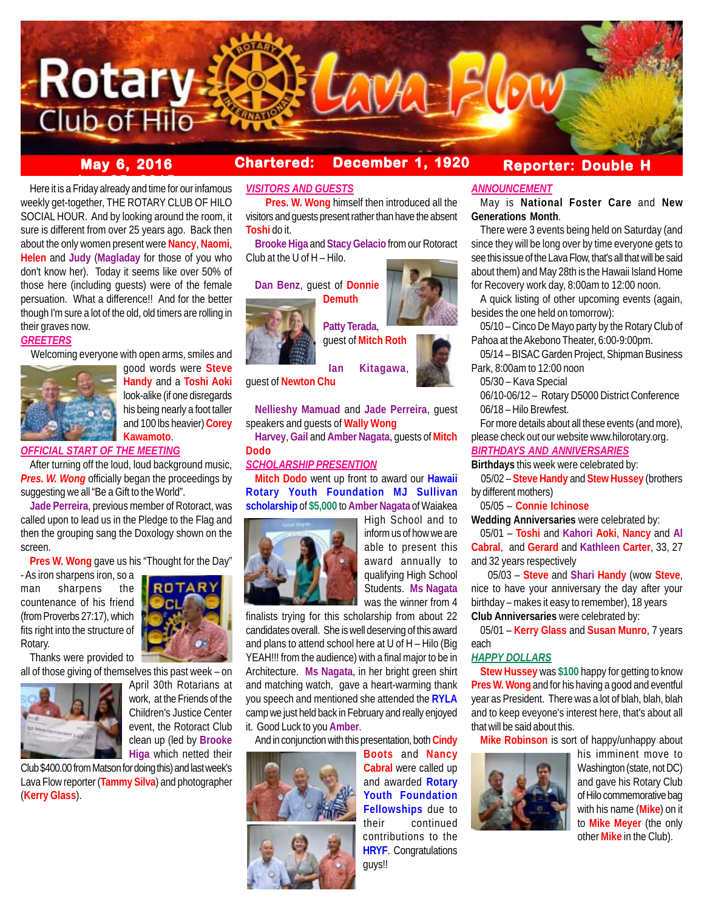

# **May 6, 2016 Chartered: December 1, 1920**

**Reporter: Double H**

**bere it is a Friday already and time for our infamous** weekly get-together, THE ROTARY CLUB OF HILO SOCIAL HOUR. And by looking around the room, it sure is different from over 25 years ago. Back then about the only women present were **Nancy**, **Naomi**, **Helen** and **Judy** (**Magladay** for those of you who don't know her). Today it seems like over 50% of those here (including guests) were of the female persuation. What a difference!! And for the better though I'm sure a lot of the old, old timers are rolling in their graves now.

## *GREETERS*

Welcoming everyone with open arms, smiles and



good words were **Steve Handy** and a **Toshi Aoki** look-alike (if one disregards his being nearly a foot taller and 100 lbs heavier) **Corey Kawamoto**.

## *OFFICIAL START OF THE MEETING*

After turning off the loud, loud background music, *Pres. W. Wong* officially began the proceedings by suggesting we all "Be a Gift to the World".

**Jade Perreira**, previous member of Rotoract, was called upon to lead us in the Pledge to the Flag and then the grouping sang the Doxology shown on the screen.

**Pres W. Wong** gave us his "Thought for the Day"

- As iron sharpens iron, so a man sharpens the countenance of his friend (from Proverbs 27:17), which fits right into the structure of Rotary.



all of those giving of themselves this past week – on



April 30th Rotarians at work, at the Friends of the Children's Justice Center event, the Rotoract Club clean up (led by **Brooke Higa** which netted their

Club \$400.00 from Matson for doing this) and last week's Lava Flow reporter (**Tammy Silva**) and photographer (**Kerry Glass**).

*VISITORS AND GUESTS*

 **Pres. W. Wong** himself then introduced all the visitors and guests present rather than have the absent **Toshi** do it.

**Brooke Higa** and **Stacy Gelacio** from our Rotoract Club at the U of H – Hilo.

## **Dan Benz**, guest of **Donnie Demuth**



**Patty Terada**,

**Nellieshy Mamuad** and **Jade Perreira**, guest speakers and guests of **Wally Wong**

**Harvey**, **Gail** and **Amber Nagata**, guests of **Mitch Dodo**

## *SCHOLARSHIP PRESENTION*

**Mitch Dodo** went up front to award our **Hawaii Rotary Youth Foundation MJ Sullivan scholarship** of **\$5,000** to **Amber Nagata** of Waiakea



High School and to inform us of how we are able to present this award annually to qualifying High School Students. **Ms Nagata** was the winner from 4

finalists trying for this scholarship from about 22 candidates overall. She is well deserving of this award and plans to attend school here at U of H – Hilo (Big YEAH!!! from the audience) with a final major to be in Architecture. **Ms Nagata**, in her bright green shirt and matching watch, gave a heart-warming thank you speech and mentioned she attended the **RYLA** camp we just held back in February and really enjoyed it. Good Luck to you **Amber**.

And in conjunction with this presentation, both **Cindy**



**Boots** and **Nancy Cabral** were called up and awarded **Rotary Youth Foundation Fellowships** due to their continued contributions to the **HRYF**. Congratulations guys!!

## *ANNOUNCEMENT*

May is **National Foster Care** and **New Generations Month**.

There were 3 events being held on Saturday (and since they will be long over by time everyone gets to see this issue of the Lava Flow, that's all that will be said about them) and May 28th is the Hawaii Island Home for Recovery work day, 8:00am to 12:00 noon.

A quick listing of other upcoming events (again, besides the one held on tomorrow):

05/10 – Cinco De Mayo party by the Rotary Club of Pahoa at the Akebono Theater, 6:00-9:00pm.

05/14 – BISAC Garden Project, Shipman Business Park, 8:00am to 12:00 noon

05/30 – Kava Special

06/10-06/12 – Rotary D5000 District Conference 06/18 – Hilo Brewfest.

For more details about all these events (and more), please check out our website www.hilorotary.org.

## *BIRTHDAYS AND ANNIVERSARIES*

**Birthdays** this week were celebrated by:

 05/02 – **Steve Handy** and **Stew Hussey** (brothers by different mothers)

05/05 – **Connie Ichinose**

**Wedding Anniversaries** were celebrated by:

05/01 – **Toshi** and **Kahori Aoki**, **Nancy** and **Al Cabral**, and **Gerard** and **Kathleen Carter**, 33, 27 and 32 years respectively

 05/03 – **Steve** and **Shari Handy** (wow **Steve**, nice to have your anniversary the day after your birthday – makes it easy to remember), 18 years **Club Anniversaries** were celebrated by:

05/01 – **Kerry Glass** and **Susan Munro**, 7 years each

## *HAPPY DOLLARS*

**Stew Hussey** was **\$100** happy for getting to know **Pres W. Wong** and for his having a good and eventful year as President. There was a lot of blah, blah, blah and to keep eveyone's interest here, that's about all that will be said about this.

**Mike Robinson** is sort of happy/unhappy about



his imminent move to Washington (state, not DC) and gave his Rotary Club of Hilo commemorative bag with his name (**Mike**) on it to **Mike Meyer** (the only other **Mike** in the Club).



**Ian Kitagawa**, guest of **Newton Chu**